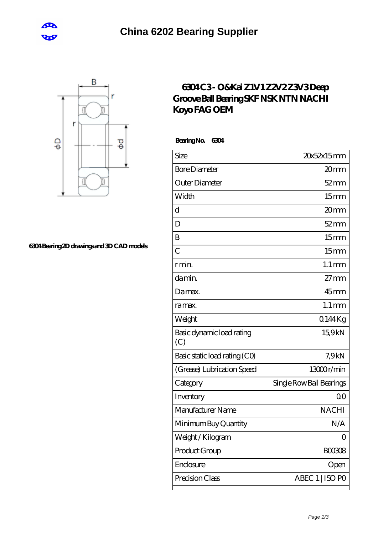



## **[6304 Bearing 2D drawings and 3D CAD models](https://m.cretan-music.com/pic-823968.html)**

## **[6304 C3 - O&Kai Z1V1 Z2V2 Z3V3 Deep](https://m.cretan-music.com/fag-c3-bearing/nachi-6304.html) [Groove Ball Bearing SKF NSK NTN NACHI](https://m.cretan-music.com/fag-c3-bearing/nachi-6304.html) [Koyo FAG OEM](https://m.cretan-music.com/fag-c3-bearing/nachi-6304.html)**

 **Bearing No. 6304**

| Size                             | 20x52x15mm               |
|----------------------------------|--------------------------|
| <b>Bore Diameter</b>             | 20 <sub>mm</sub>         |
| Outer Diameter                   | $52 \text{mm}$           |
| Width                            | 15 <sub>mm</sub>         |
| d                                | 20 <sub>mm</sub>         |
| D                                | $52 \text{mm}$           |
| B                                | 15 <sub>mm</sub>         |
| $\overline{C}$                   | 15 <sub>mm</sub>         |
| r min.                           | $1.1 \,\mathrm{mm}$      |
| da min.                          | $27 \text{mm}$           |
| Damax.                           | $45$ mm                  |
| ra max.                          | $1.1 \,\mathrm{mm}$      |
| Weight                           | 0144Kg                   |
| Basic dynamic load rating<br>(C) | 15,9kN                   |
| Basic static load rating (CO)    | 7.9kN                    |
| (Grease) Lubrication Speed       | 13000r/min               |
| Category                         | Single Row Ball Bearings |
| Inventory                        | 0 <sup>0</sup>           |
| Manufacturer Name                | <b>NACHI</b>             |
| Minimum Buy Quantity             | N/A                      |
| Weight / Kilogram                | 0                        |
| Product Group                    | BOO3O8                   |
| Enclosure                        | Open                     |
| Precision Class                  | ABEC 1   ISO PO          |
|                                  |                          |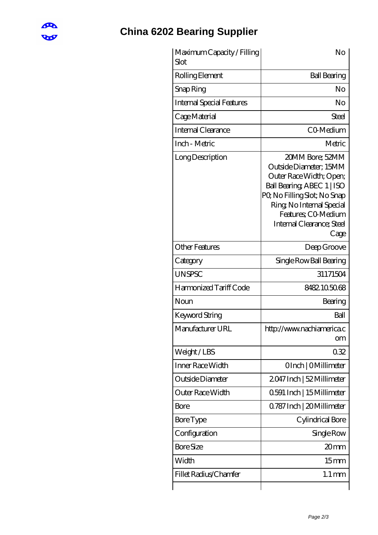

## **[China 6202 Bearing Supplier](https://m.cretan-music.com)**

| Maximum Capacity / Filling<br>Slot | No                                                                                                                                                                                                                         |
|------------------------------------|----------------------------------------------------------------------------------------------------------------------------------------------------------------------------------------------------------------------------|
| Rolling Element                    | <b>Ball Bearing</b>                                                                                                                                                                                                        |
| Snap Ring                          | No                                                                                                                                                                                                                         |
| <b>Internal Special Features</b>   | No                                                                                                                                                                                                                         |
| Cage Material                      | Steel                                                                                                                                                                                                                      |
| Internal Clearance                 | CO-Medium                                                                                                                                                                                                                  |
| Inch - Metric                      | Metric                                                                                                                                                                                                                     |
| Long Description                   | 20MM Bore; 52MM<br>Outside Diameter; 15MM<br>Outer Race Width; Open;<br>Ball Bearing, ABEC 1   ISO<br>PQ No Filling Slot; No Snap<br>Ring, No Internal Special<br>Features: CO Medium<br>Internal Clearance; Steel<br>Cage |
| <b>Other Features</b>              | Deep Groove                                                                                                                                                                                                                |
| Category                           | Single Row Ball Bearing                                                                                                                                                                                                    |
| <b>UNSPSC</b>                      | 31171504                                                                                                                                                                                                                   |
| Harmonized Tariff Code             | 8482.105068                                                                                                                                                                                                                |
| Noun                               | Bearing                                                                                                                                                                                                                    |
| Keyword String                     | Ball                                                                                                                                                                                                                       |
| Manufacturer URL                   | http://www.nachiamerica.c<br><b>om</b>                                                                                                                                                                                     |
| Weight/LBS                         | 032                                                                                                                                                                                                                        |
| Inner Race Width                   | OInch   OMillimeter                                                                                                                                                                                                        |
| Outside Diameter                   | 2047 Inch   52 Millimeter                                                                                                                                                                                                  |
| <b>Outer Race Width</b>            | 0.591 Inch   15 Millimeter                                                                                                                                                                                                 |
| Bore                               | Q787 Inch   20 Millimeter                                                                                                                                                                                                  |
| <b>Bore Type</b>                   | Cylindrical Bore                                                                                                                                                                                                           |
| Configuration                      | Single Row                                                                                                                                                                                                                 |
| <b>Bore Size</b>                   | 20 <sub>mm</sub>                                                                                                                                                                                                           |
| Width                              | 15 <sub>mm</sub>                                                                                                                                                                                                           |
| Fillet Radius/Chamfer              | $1.1 \,\mathrm{mm}$                                                                                                                                                                                                        |